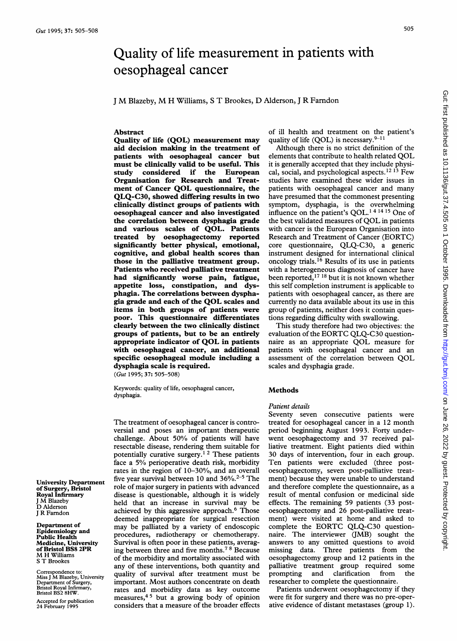# Quality of life measurement in patients with oesophageal cancer

<sup>J</sup> M Blazeby, M H Williams, <sup>S</sup> T Brookes, D Alderson, <sup>J</sup> R Farndon

# Abstract

Quality of life (QOL) measurement may aid decision making in the treatment of patients with oesophageal cancer but must be clinically valid to be useful. This study considered if the European Organisation for Research and Treatment of Cancer QOL questionnaire, the QLQ-C30, showed differing results in two clinically distinct groups of patients with oesophageal cancer and also investigated the correlation between dysphagia grade and various scales of QOL. Patients treated by oesophagectomy reported significantly better physical, emotional, cognitive, and global health scores than those in the palliative treatment group. Patients who received palliative treatment had significantly worse pain, fatigue, appetite loss, constipation, and dysphagia. The correlations between dysphagia grade and each of the QOL scales and items in both groups of patients were poor. This questionnaire differentiates clearly between the two clinically distinct groups of patients, but to be an entirely groups of patients, but to be an entirely<br>component indicator of  $OOI$  in patients appropriate indicator of QOL in patients<br>with oesophageal cancer, an additional with oesophageal cancer, an additional specific oesophagear floud dysphagia scale is required.<br> $(Gut 1995; 37: 505-508)$ 

Keywords: quality of life, oesophageal cancer, **Reywords** 

 $T$  treatment of oesophageal cancer is controlled cancer is controlled cancer is controlled cancer is controlled cancer is controrie treatment of oesophageal cancer is controversial and poses an important therapeutic challenge. About 50% of patients will have resectable disease, rendering them suitable for potentially curative surgery.<sup>12</sup> These patients face a 5% perioperative death risk, morbidity rates in the region of  $10-30\%$ , and an overall five year survival between 10 and  $36\%$ .<sup>2-5</sup> The role of major surgery in patients with advanced disease is questionable, although it is widely held that an increase in survival may be achieved by this aggressive approach.<sup>6</sup> Those deemed inappropriate for surgical resection may be palliated by a variety of endoscopic procedures, radiotherapy or chemotherapy. Survival is often poor in these patients, averaging between three and five months.<sup>78</sup> Because of the morbidity and mortality associated with any of these interventions, both quantity and quality of survival after treatment must be important. Most authors concentrate on death rates and morbidity data as key outcome measures, $45$  but a growing body of opinion considers that a measure of the broader effects of ill health and treatment on the patient's quality of life (QOL) is necessary.  $9-11$ 

Although there is no strict definition of the elements that contribute to health related QOL it is generally accepted that they include physical, social, and psychological aspects.<sup>12 13</sup> Few studies have examined these wider issues in patients with oesophageal cancer and many have presumed that the commonest presenting symptom, dysphagia, is the overwhelming influence on the patient's QOL.1 <sup>4</sup> <sup>14</sup> <sup>15</sup> One of the best validated measures of QOL in patients with cancer is the European Organisation into Research and Treatment of Cancer (EORTC) core questionnaire, QLQ-C30, a generic instrument designed for international clinical oncology trials.<sup>16</sup> Results of its use in patients with a heterogeneous diagnosis of cancer have been reported,<sup>17 18</sup> but it is not known whether this self completion instrument is applicable to patients with oesophageal cancer, as there are currently no data available about its use in this group of patients, neither does it contain questions regarding difficulty with swallowing.

This study therefore had two objectives: the I his study therefore had two objectives: the  $E$ ORTC QLQ-C30 question evaluation of the EORTU QLQ-C30 questionpatients with oesophageal cancer and an<br>patients with oesophageal cancer and an assessment of the correlation between QOL scales and dysphagia grade.

# Methods

#### Patient details

 $\Omega$  seven consecutive patients were patients were patients were patients were patients were patients were patients were  $\Omega$ sevent consecutive patients were  $\frac{1}{2}$  period beginning and  $\frac{1}{2}$  and  $\frac{1}{2}$  underperiod oegining August 1995. Porty underwent oesophageetomy and 37 received parnauve treatment. Eight patients then within 30 days of intervention, four in each group. Ten patients were excluded (three postoesophagectomy, seven post-palliative treatment) because they were unable to understand and therefore complete the questionnaire, as a result of mental confusion or medicinal side effects. The remaining 59 patients (33 postoesophagectomy and 26 post-palliative treatment) were visited at home and asked to complete the EORTC QLQ-C30 questionnaire. The interviewer (JMB) sought the answers to any omitted questions to avoid missing data. Three patients from the oesophagectomy group and 12 patients in the palliative treatment group required some<br>prompting and clarification from the prompting and clarification from researcher to complete the questionnaire.

Patients underwent oesophagectomy if they were fit for surgery and there was no pre-operative evidence of distant metastases (group 1).

University Department of Surgery, Bris<br>Royal Infirmary I M Blazeby D Alderson<br>J R Farndon

Department of Epidemiology and **Public Health** Medicine, Univers<br>of Bristol BS8 2PF M H Williams<br>S T Brookes

Correspondence to:<br>Miss J M Blazeby, University<br>Department of Surgery,<br>Bristol Royal Infirmary.  $BISUIDSZOHW$ .

Accepted for publication 24 February 1995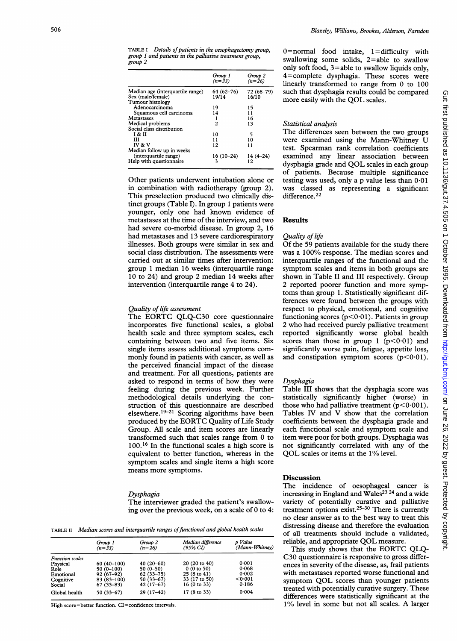|                                  | Group 1<br>$(n=33)$ | Group 2<br>$(n=26)$ |
|----------------------------------|---------------------|---------------------|
| Median age (interquartile range) | 64 (62-76)          | 72 (68-79)          |
| Sex (male/female)                | 19/14               | 16/10               |
| Tumour histology                 |                     |                     |
| Adenocarcinoma                   | 19                  | 15                  |
| Squamous cell carcinoma          | 14                  | 11                  |
| Metastases                       |                     | 16                  |
| Medical problems                 | 2                   | 13                  |
| Social class distribution        |                     |                     |
| I & II                           | 10                  | 5                   |
| ш                                | 11                  | 10                  |
| IV & V                           | 12                  | 11                  |
| Median follow up in weeks        |                     |                     |
| (interquartile range)            | $16(10-24)$         | $14(4 - 24)$        |
| Help with questionnaire          | ٦                   | 12                  |

Other patients underwent intubation alone or in combination with radiotherapy (group 2). This preselection produced two clinically distinct groups (Table I). In group <sup>1</sup> patients were younger, only one had known evidence of metastases at the time of the interview, and two had severe co-morbid disease. In group 2, 16 had metastases and 13 severe cardiorespiratory illnesses. Both groups were similar in sex and social class distribution. The assessments were carried out at similar times after intervention: group <sup>1</sup> median 16 weeks (interquartile range 10 to 24) and group 2 median 14 weeks after intervention (interquartile range 4 to 24).

# Quality of life assessment

The EORTC QLQ-C30 core questionnaire incorporates five functional scales, a global health scale and three symptom scales, each containing between two and five items. Six single items assess additional symptoms commonly found in patients with cancer, as well as the perceived financial impact of the disease and treatment. For all questions, patients are asked to respond in terms of how they were feeling during the previous week. Further methodological details underlying the construction of this questionnaire are described elsewhere.<sup>19-21</sup> Scoring algorithms have been produced by the EORTC Quality of Life Study Group. All scale and item scores are linearly transformed such that scales range from 0 to 100.16 In the functional scales a high score is equivalent to better function, whereas in the symptom scales and single items a high score means more symptoms.

#### Dysphagia

The interviewer graded the patient's swallowing over the previous week, on a scale of 0 to 4:

TABLE II Median scores and interquartile ranges of functional and global health scales

|                        | Group 1<br>$(n=33)$ | Group 2<br>$(n=26)$ | Median difference<br>(95% CI) | p Value<br>(Mann-Whitney) |
|------------------------|---------------------|---------------------|-------------------------------|---------------------------|
| <b>Function scales</b> |                     |                     |                               |                           |
| Physical               | $60(40-100)$        | $40(20-60)$         | 20(20 to 40)                  | 0.001                     |
| Role                   | $50(0-100)$         | $50(0-50)$          | 0(0 to 50)                    | 0.068                     |
| Emotional              | $92(67-92)$         | $62(33 - 75)$       | 25 (8 to 41)                  | 0.002                     |
| Cognitive              | 83 (83-100)         | 50 (33–67)          | 33 (17 to 50)                 | < 0.001                   |
| Social                 | $67(33 - 83)$       | $42(17-67)$         | 16 (0 to 33)                  | 0.186                     |
| Global health          | $50(33-67)$         | 29 (17-42)          | 17 (8 to 33)                  | 0.004                     |

High score=better function. CI=confidence intervals.

0=normal food intake, 1=difficulty with swallowing some solids,  $2 =$ able to swallow only soft food,  $3 =$ able to swallow liquids only, 4 = complete dysphagia. These scores were linearly transformed to range from 0 to 100 such that dysphagia results could be compared more easily with the QOL scales.

# Statistical analysis

The differences seen between the two groups were examined using the Mann-Whitney U test. Spearman rank correlation coefficients examined any linear association between dysphagia grade and QOL scales in each group of patients. Because multiple significance testing was used, only a p value less than 0.01 was classed as representing a significant difference.<sup>22</sup>

# Results

# Quality of life

Of the 59 patients available for the study there was <sup>a</sup> 100% response. The median scores and interquartile ranges of the functional and the symptom scales and items in both groups are shown in Table II and III respectively. Group 2 reported poorer function and more symptoms than group 1. Statistically significant differences were found between the groups with respect to physical, emotional, and cognitive functioning scores ( $p < 0.01$ ). Patients in group 2 who had received purely palliative treatment reported significantly worse global health scores than those in group 1 ( $p<0.01$ ) and significantly worse pain, fatigue, appetite loss, and constipation symptom scores  $(p<0.01)$ .

### Dysphagia

Table III shows that the dysphagia score was statistically significantly higher (worse) in those who had palliative treatment ( $p < 0.001$ ). Tables IV and V show that the correlation coefficients between the dysphagia grade and each functional scale and symptom scale and item were poor for both groups. Dysphagia was not significantly correlated with any of the QOL scales or items at the 1% level.

# **Discussion**

The incidence of oesophageal cancer is increasing in England and Wales<sup>23 24</sup> and a wide variety of potentially curative and palliative treatment options exist.25-30 There is currently no clear answer as to the best way to treat this distressing disease and therefore the evaluation of all treatments should include a validated, reliable, and appropriate QOL measure. reliable, and appropriate QOL measure.<br>This study shows that the EORTC QLQ-

C30 questionnaire is responsive to gross differences in severity of the disease, as, frail patients with metastases reported worse functional and<br>with metastases reported worse functional and symptom QOL scores than younger patients<br>treated with potentially curative surgery. These differences were statistically significant at the<br>differences were statistically significant at the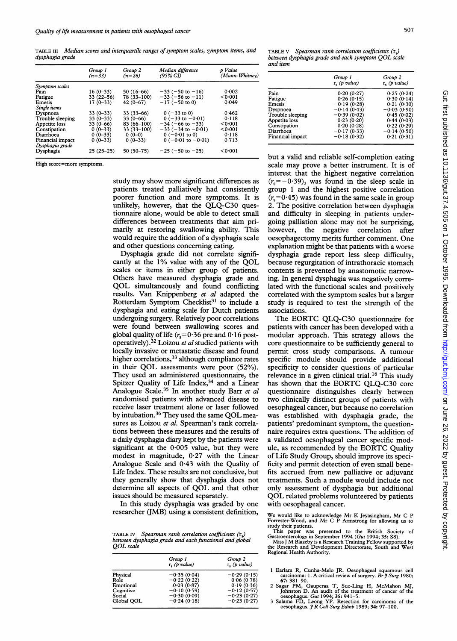TABLE III Median scores and interquartile ranges of symptom scales, symptom items, and dysphagia grade

|                                     | Group 1<br>$(n=33)$ | Group 2<br>$(n=26)$ | Median difference<br>(95% CI) | p Value<br>(Mann-Whitney) |
|-------------------------------------|---------------------|---------------------|-------------------------------|---------------------------|
| Symptom scales                      |                     |                     |                               |                           |
| Pain                                | $16(0-33)$          | 50 (16–66)          | $-33$ (-50 to -16)            | 0.002                     |
| Fatigue                             | $33(22 - 56)$       | 78 (33-100)         | $-33$ (-56 to -11)            | < 0.001                   |
| Emesis                              | $17(0-33)$          | $42(0-67)$          | $-17$ (-50 to 0)              | 0.049                     |
| Single items                        |                     |                     |                               |                           |
| Dyspnoea                            | $33(0-33)$          | $33(33-66)$         | $0(-33 \text{ to } 0)$        | 0.462                     |
| Trouble sleeping                    | $33(0-33)$          | $33(0-66)$          | $0(-33$ to $-0.01$ )          | 0.118                     |
| Appetite loss                       | $33(0-66)$          | 83 (66-100)         | $-34$ (-66 to -33)            | < 0.001                   |
| Constipation                        | $0(0-33)$           | $33(33-100)$        | $-33$ ( $-34$ to $-0.01$ )    | < 0.001                   |
| Diarrhoea                           | $0(0-33)$           | $0(0-0)$            | $0(-0.01 \text{ to } 0)$      | 0.118                     |
| Financial impact<br>Dysphagia grade | $0(0-33)$           | $0(0-33)$           | $0(-0.01$ to $-0.01$ )        | 0.713                     |
| Dysphagia                           | $25(25-25)$         | $50(50-75)$         | $-25$ ( $-50$ to $-25$ )      | < 0.001                   |

High score=more symptoms.

study may show more significant differences as patients treated palliatively had consistently poorer function and more symptoms. It is unlikely, however, that the QLQ-C30 questionnaire alone, would be able to detect small differences between treatments that aim primarily at restoring swallowing ability. This would require the addition of a dysphagia scale and other questions concerning eating.

Dysphagia grade did not correlate significantly at the 1% value with any of the QOL scales or items in either group of patients. Others have measured dysphagia grade and QOL simultaneously and found conflicting results. Van Knippenberg et al adapted the Rotterdam Symptom Checklist<sup>31</sup> to include a dysphagia and eating scale for Dutch patients undergoing surgery. Relatively poor correlations were found between swallowing scores and global quality of life  $(r_s=0.36$  pre and  $0.16$  postoperatively).<sup>32</sup> Loizou et al studied patients with locally invasive or metastatic disease and found higher correlations,<sup>33</sup> although compliance rates<br>in their QOL assessments were poor (52%). in their QOL assessments were poor  $(52%)$ .<br>They used an administered questionnaire, the Spitzer Quality of Life Index,  $34$  and a Linear Analogue Scale.<sup>35</sup> In another study Barr et al randomised patients with advanced disease to receive laser treatment alone or laser followed by intubation.<sup>36</sup> They used the same QOL measures as Loizou et al. Spearman's rank correlations between these measures and the results of a daily dysphagia diary kept by the patients were significant at the 0.005 value, but they were significant at the 0.000 value, but they were Analogue Scale and 043 with the Quality of Life Index. These results are not conclusive, but they generally show that dysphagia does not they generally show that dysphagia does not<br>determine all aspects of OOL and that other determine all aspects of QOL and that other<br>issues should be measured separately.

In this study dysphagia was graded by one researcher (1MB) using a consistent definition,

TABLE IV Spearman rank correlation coefficients  $(r_s)$ between dysphagia grade and each functional and global<br>OOL scale

|            | Group 1<br>$r_a$ (p value) | Group 2<br>$r_{\rm s}$ (p value) |
|------------|----------------------------|----------------------------------|
| Physical   | $-0.35(0.04)$              | $-0.29(0.15)$                    |
| Role       | $-0.22(0.22)$              | 0.06(0.78)                       |
| Emotional  | 0.03(0.87)                 | 0.19(0.36)                       |
| Cognitive  | $-0.10(0.59)$              | $-0.12(0.57)$                    |
| Social     | $-0.30(0.09)$              | $-0.23(0.27)$                    |
| Global QOL | $-0.24(0.18)$              | $-0.23(0.27)$                    |

TABLE V Spearman rank correlation coefficients  $(r_{s})$ between dysphagia grade and each symptom QOL scale and item

|                  | Group 1<br>$r_{\rm e}$ (p value) | Group 2<br>$r_{\rm e}$ (p value) |
|------------------|----------------------------------|----------------------------------|
| Pain             | 0.20(0.27)                       | 0.25(0.24)                       |
| Fatigue          | 0.26(0.15)                       | 0.30(0.14)                       |
| Emesis           | $-0.19(0.28)$                    | 0.21(0.30)                       |
| Dyspnoea         | $-0.14(0.43)$                    | $-0.03(0.90)$                    |
| Trouble sleeping | $-0.39(0.02)$                    | 0.45(0.02)                       |
| Appetite loss    | 0.23(0.20)                       | 0.44(0.03)                       |
| Constipation     | 0.20(0.28)                       | 0.22(0.29)                       |
| Diarrhoea        | $-0.17(0.33)$                    | $-0.14(0.50)$                    |
| Financial impact | $-0.18(0.32)$                    | 0.21(0.31)                       |

but a valid and reliable self-completion eating scale may prove <sup>a</sup> better instrument. It is of interest that the highest negative correlation  $(r_s=-0.39)$ , was found in the sleep scale in group <sup>1</sup> and the highest positive correlation  $(r_s=0.45)$  was found in the same scale in group 2. The positive correlation between dysphagia and difficulty in sleeping in patients undergoing palliation alone may not be surprising, however, the negative correlation after oesophagectomy merits further comment. One explanation might be that patients with a worse dysphagia grade report less sleep difficulty, because regurgitation of intrathoracic stomach contents is prevented by anastomotic narrowing. In general dysphagia was negatively correlated with the functional scales and positively correlated with the symptom scales but a larger study is required to test the strength of the associations.

The EORTC QLQ-C30 questionnaire for patients with cancer has been developed with a modular approach. This strategy allows the core questionnaire to be sufficiently general to permit cross study comparisons. A tumour specific module should provide additional specificity to consider questions of particular relevance in a given clinical trial.<sup>16</sup> This study has shown that the EORTC QLQ-C30 core questionnaire distinguishes clearly between two clinically distinct groups of patients with oesophageal cancer, but because no correlation was principal value of the with discrete grade and the discrete grade, the discrete grade grade, the discrete g was established with dysphagia grade, the patients' predominant symptom, the questionnaire requires extra questions. The addition of a validated oesophageal cancer specific module, as recommended by the EORTC Quality of Life Study Group, should improve its speci- $\epsilon$  find  $\epsilon$  and  $\epsilon$  of even small beneficient of  $\epsilon$  in small beneficient small beneficient small beneficient small beneficient small beneficient small beneficient small beneficient small. ficity and permit detection of even small benefits accrued from new palliative or adjuvant treatments. Such a module would include not only assessment of dysphagia but additional QOL related problems volunteered by patients<br>with oesophageal cancer.

study their patients.<br>
This paper was presented to the British Society of<br>
Gastroenterology in September 1994 (Gut 1994; 35: S8).<br>
Miss J M Blazeby is a Research Training Fellow supported by<br>
the Research and Development D

- Earlam R, Cunha-Melo JR. Oesophageal squamous cell<br>carcinoma: 1. A critical review of surgery. Br 9 Surg 1980;
- 67: 381-90.<br>
2 Sagar PM, Gauperaa T, Sue-Ling H, McMahon MJ,<br>
10hnston D. An audit of the treatment of cancer of the<br>
oesophagus. Gut 1994; 35: 941-5.<br>
3 Salama FD, Leong YP. Resection for carcinoma of the
- 

We would like to acknowledge Mr K Jeyasingham, Mr C P<br>Forrester-Wood, and Mr C P Armstrong for allowing us to